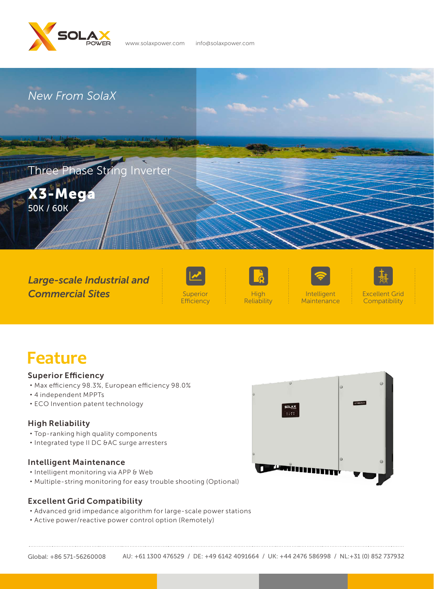

www.solaxpower.com info@solaxpower.com



*Large-scale Industrial and Commercial Sites*



**Efficiency** 





Intelligent **Maintenance** 



Excellent Grid **Compatibility** 

# **Feature**

#### Superior Efficiency

- ·Max efficiency 98.3%, European efficiency 98.0%
- ·4 independent MPPTs
- ·ECO Invention patent technology

### High Reliability

- ·Top-ranking high quality components
- ·Integrated type II DC &AC surge arresters

#### Intelligent Maintenance

- ·Intelligent monitoring via APP & Web
- ·Multiple-string monitoring for easy trouble shooting (Optional)



### Excellent Grid Compatibility

- ·Advanced grid impedance algorithm for large-scale power stations
- ·Active power/reactive power control option (Remotely)